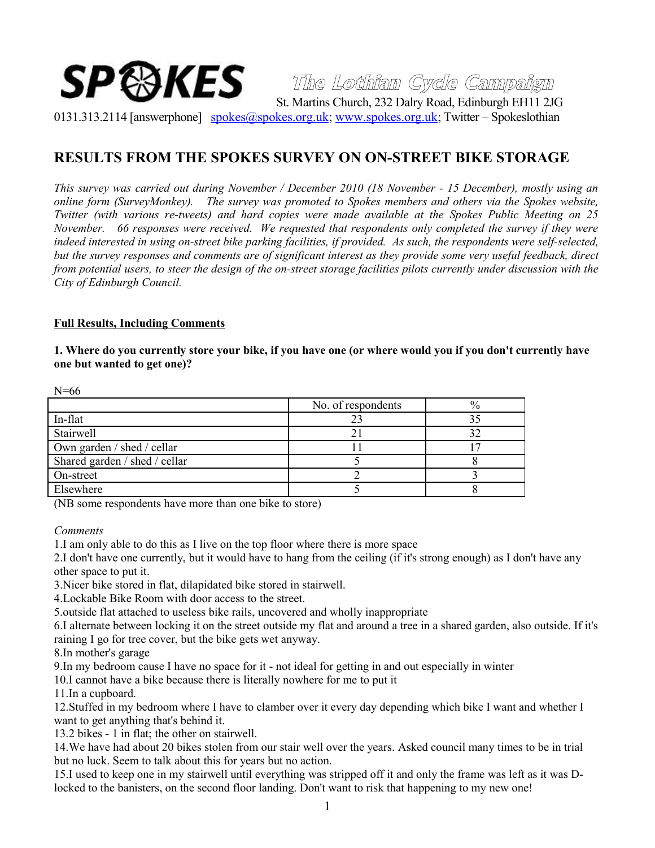# **The Lothian Cycle Campaign**  ${\bf SP}\mathbb{S}$ KES  $\mathbb{S}_{\rm St. \, Martins \, Church. \, 232 \, Dalry\, Road. \, Edinburgh \, EH11\, 2JG}$

0131.313.2114 [answerphone] [spokes@spokes.org.uk;](mailto:spokes@spokes.org.uk) [www.spokes.org.uk;](http://www.spokes.org.uk/) Twitter – Spokeslothian

# **RESULTS FROM THE SPOKES SURVEY ON ON-STREET BIKE STORAGE**

*This survey was carried out during November / December 2010 (18 November - 15 December), mostly using an online form (SurveyMonkey). The survey was promoted to Spokes members and others via the Spokes website, Twitter (with various re-tweets) and hard copies were made available at the Spokes Public Meeting on 25 November. 66 responses were received. We requested that respondents only completed the survey if they were indeed interested in using on-street bike parking facilities, if provided. As such, the respondents were self-selected, but the survey responses and comments are of significant interest as they provide some very useful feedback, direct from potential users, to steer the design of the on-street storage facilities pilots currently under discussion with the City of Edinburgh Council.*

#### **Full Results, Including Comments**

**1. Where do you currently store your bike, if you have one (or where would you if you don't currently have one but wanted to get one)?**

| $N=00$                        |                    |               |
|-------------------------------|--------------------|---------------|
|                               | No. of respondents | $\frac{0}{0}$ |
| In-flat                       | 23                 |               |
| Stairwell                     |                    |               |
| Own garden / shed / cellar    |                    |               |
| Shared garden / shed / cellar |                    |               |
| On-street                     |                    |               |
| Elsewhere                     |                    |               |

(NB some respondents have more than one bike to store)

*Comments*

 $N=f$ 

1.I am only able to do this as I live on the top floor where there is more space

2.I don't have one currently, but it would have to hang from the ceiling (if it's strong enough) as I don't have any other space to put it.

3.Nicer bike stored in flat, dilapidated bike stored in stairwell.

4.Lockable Bike Room with door access to the street.

5.outside flat attached to useless bike rails, uncovered and wholly inappropriate

6.I alternate between locking it on the street outside my flat and around a tree in a shared garden, also outside. If it's raining I go for tree cover, but the bike gets wet anyway.

8.In mother's garage

9.In my bedroom cause I have no space for it - not ideal for getting in and out especially in winter

10.I cannot have a bike because there is literally nowhere for me to put it

11.In a cupboard.

12.Stuffed in my bedroom where I have to clamber over it every day depending which bike I want and whether I want to get anything that's behind it.

13.2 bikes - 1 in flat; the other on stairwell.

14.We have had about 20 bikes stolen from our stair well over the years. Asked council many times to be in trial but no luck. Seem to talk about this for years but no action.

15.I used to keep one in my stairwell until everything was stripped off it and only the frame was left as it was Dlocked to the banisters, on the second floor landing. Don't want to risk that happening to my new one!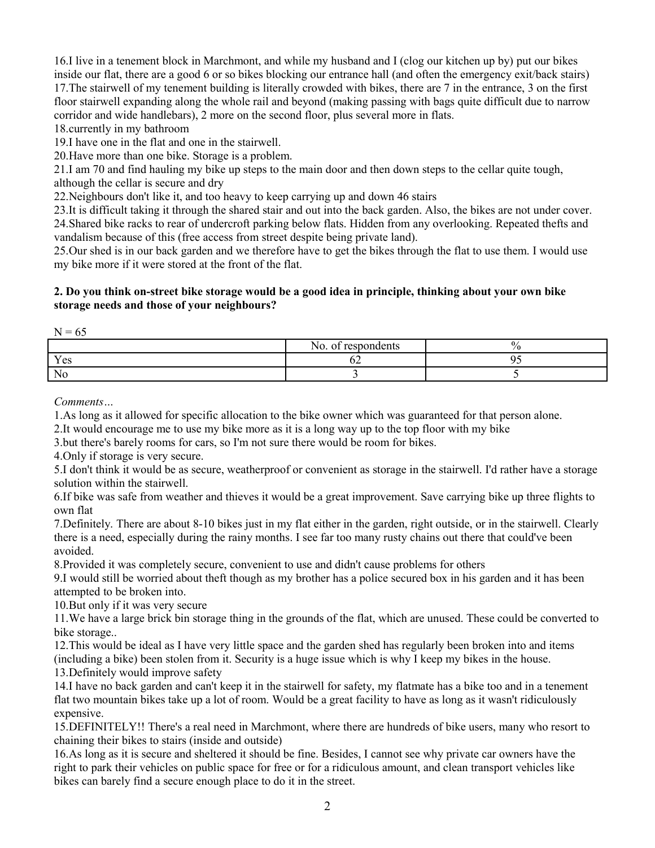16.I live in a tenement block in Marchmont, and while my husband and I (clog our kitchen up by) put our bikes inside our flat, there are a good 6 or so bikes blocking our entrance hall (and often the emergency exit/back stairs) 17.The stairwell of my tenement building is literally crowded with bikes, there are 7 in the entrance, 3 on the first floor stairwell expanding along the whole rail and beyond (making passing with bags quite difficult due to narrow corridor and wide handlebars), 2 more on the second floor, plus several more in flats.

18.currently in my bathroom

19.I have one in the flat and one in the stairwell.

20.Have more than one bike. Storage is a problem.

21.I am 70 and find hauling my bike up steps to the main door and then down steps to the cellar quite tough, although the cellar is secure and dry

22.Neighbours don't like it, and too heavy to keep carrying up and down 46 stairs

23.It is difficult taking it through the shared stair and out into the back garden. Also, the bikes are not under cover. 24.Shared bike racks to rear of undercroft parking below flats. Hidden from any overlooking. Repeated thefts and vandalism because of this (free access from street despite being private land).

25.Our shed is in our back garden and we therefore have to get the bikes through the flat to use them. I would use my bike more if it were stored at the front of the flat.

### **2. Do you think on-street bike storage would be a good idea in principle, thinking about your own bike storage needs and those of your neighbours?**

 $N = 65$ 

|                                 | . .<br>200000000<br>N <sub>O</sub> .<br>$\sim$<br>uta<br>$\mathbf{u}$ |  |
|---------------------------------|-----------------------------------------------------------------------|--|
| $\mathbf{v}$<br>$\alpha$<br>エレコ | .                                                                     |  |
| No                              |                                                                       |  |

*Comments…*

1.As long as it allowed for specific allocation to the bike owner which was guaranteed for that person alone.

2.It would encourage me to use my bike more as it is a long way up to the top floor with my bike

3.but there's barely rooms for cars, so I'm not sure there would be room for bikes.

4.Only if storage is very secure.

5.I don't think it would be as secure, weatherproof or convenient as storage in the stairwell. I'd rather have a storage solution within the stairwell.

6.If bike was safe from weather and thieves it would be a great improvement. Save carrying bike up three flights to own flat

7.Definitely. There are about 8-10 bikes just in my flat either in the garden, right outside, or in the stairwell. Clearly there is a need, especially during the rainy months. I see far too many rusty chains out there that could've been avoided.

8.Provided it was completely secure, convenient to use and didn't cause problems for others

9.I would still be worried about theft though as my brother has a police secured box in his garden and it has been attempted to be broken into.

10.But only if it was very secure

11.We have a large brick bin storage thing in the grounds of the flat, which are unused. These could be converted to bike storage..

12.This would be ideal as I have very little space and the garden shed has regularly been broken into and items (including a bike) been stolen from it. Security is a huge issue which is why I keep my bikes in the house. 13.Definitely would improve safety

14.I have no back garden and can't keep it in the stairwell for safety, my flatmate has a bike too and in a tenement flat two mountain bikes take up a lot of room. Would be a great facility to have as long as it wasn't ridiculously expensive.

15.DEFINITELY!! There's a real need in Marchmont, where there are hundreds of bike users, many who resort to chaining their bikes to stairs (inside and outside)

16.As long as it is secure and sheltered it should be fine. Besides, I cannot see why private car owners have the right to park their vehicles on public space for free or for a ridiculous amount, and clean transport vehicles like bikes can barely find a secure enough place to do it in the street.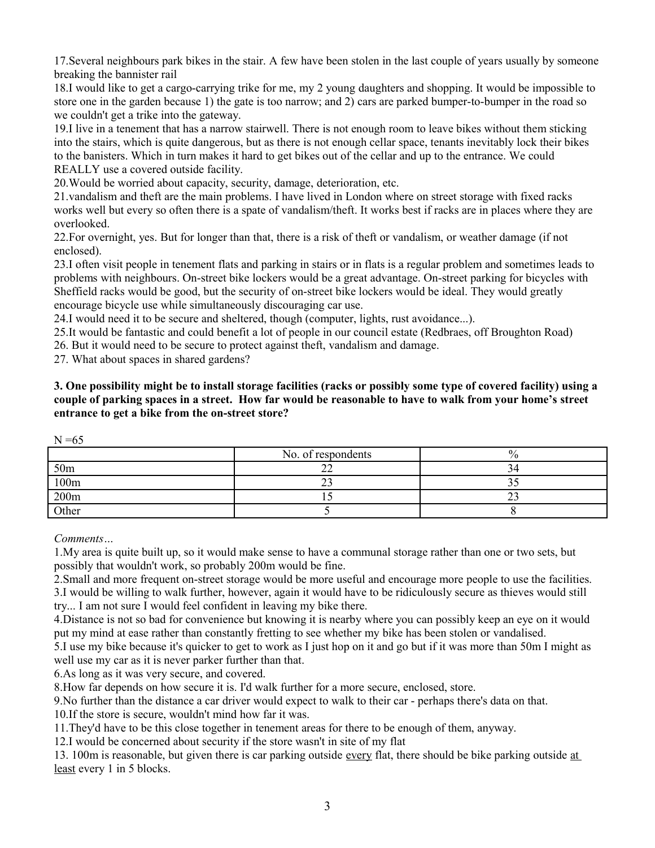17.Several neighbours park bikes in the stair. A few have been stolen in the last couple of years usually by someone breaking the bannister rail

18.I would like to get a cargo-carrying trike for me, my 2 young daughters and shopping. It would be impossible to store one in the garden because 1) the gate is too narrow; and 2) cars are parked bumper-to-bumper in the road so we couldn't get a trike into the gateway.

19.I live in a tenement that has a narrow stairwell. There is not enough room to leave bikes without them sticking into the stairs, which is quite dangerous, but as there is not enough cellar space, tenants inevitably lock their bikes to the banisters. Which in turn makes it hard to get bikes out of the cellar and up to the entrance. We could REALLY use a covered outside facility.

20.Would be worried about capacity, security, damage, deterioration, etc.

21.vandalism and theft are the main problems. I have lived in London where on street storage with fixed racks works well but every so often there is a spate of vandalism/theft. It works best if racks are in places where they are overlooked.

22.For overnight, yes. But for longer than that, there is a risk of theft or vandalism, or weather damage (if not enclosed).

23.I often visit people in tenement flats and parking in stairs or in flats is a regular problem and sometimes leads to problems with neighbours. On-street bike lockers would be a great advantage. On-street parking for bicycles with Sheffield racks would be good, but the security of on-street bike lockers would be ideal. They would greatly encourage bicycle use while simultaneously discouraging car use.

24.I would need it to be secure and sheltered, though (computer, lights, rust avoidance...).

25.It would be fantastic and could benefit a lot of people in our council estate (Redbraes, off Broughton Road)

26. But it would need to be secure to protect against theft, vandalism and damage.

27. What about spaces in shared gardens?

**3. One possibility might be to install storage facilities (racks or possibly some type of covered facility) using a couple of parking spaces in a street. How far would be reasonable to have to walk from your home's street entrance to get a bike from the on-street store?**

| $\mathbf{1}$<br>$\sim$ |                    |      |  |
|------------------------|--------------------|------|--|
|                        | No. of respondents | $\%$ |  |
| 50 <sub>m</sub>        |                    | 14   |  |
| 100m                   |                    |      |  |
| 200m                   |                    | ت سے |  |
| Other                  |                    |      |  |

 $N = 65$ 

*Comments…*

1.My area is quite built up, so it would make sense to have a communal storage rather than one or two sets, but possibly that wouldn't work, so probably 200m would be fine.

2.Small and more frequent on-street storage would be more useful and encourage more people to use the facilities. 3.I would be willing to walk further, however, again it would have to be ridiculously secure as thieves would still try... I am not sure I would feel confident in leaving my bike there.

4.Distance is not so bad for convenience but knowing it is nearby where you can possibly keep an eye on it would put my mind at ease rather than constantly fretting to see whether my bike has been stolen or vandalised.

5.I use my bike because it's quicker to get to work as I just hop on it and go but if it was more than 50m I might as well use my car as it is never parker further than that.

6.As long as it was very secure, and covered.

8.How far depends on how secure it is. I'd walk further for a more secure, enclosed, store.

9.No further than the distance a car driver would expect to walk to their car - perhaps there's data on that.

10.If the store is secure, wouldn't mind how far it was.

11.They'd have to be this close together in tenement areas for there to be enough of them, anyway.

12.I would be concerned about security if the store wasn't in site of my flat

13. 100m is reasonable, but given there is car parking outside every flat, there should be bike parking outside at least every 1 in 5 blocks.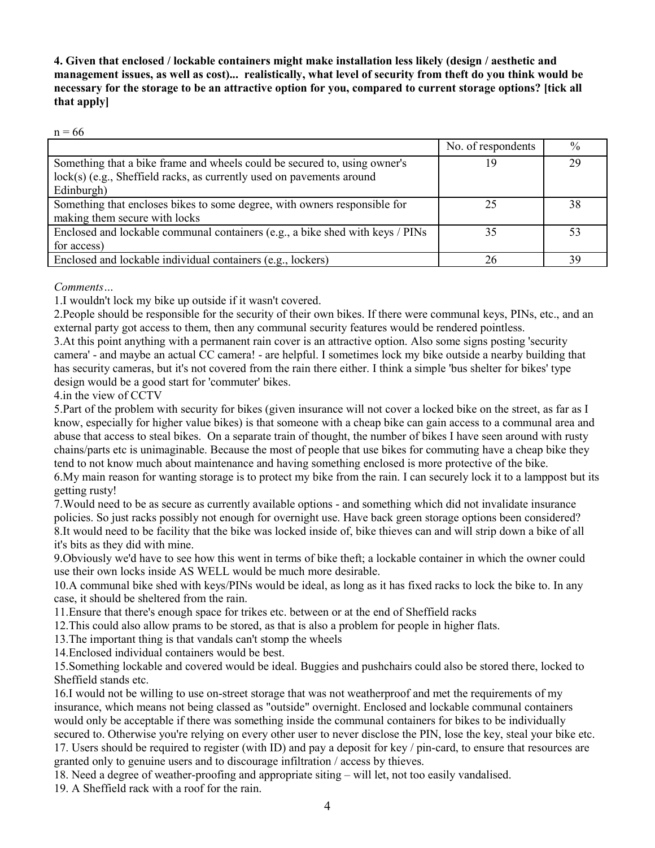**4. Given that enclosed / lockable containers might make installation less likely (design / aesthetic and management issues, as well as cost)... realistically, what level of security from theft do you think would be necessary for the storage to be an attractive option for you, compared to current storage options? [tick all that apply]**

 $n = 66$ 

|                                                                               | No. of respondents | $\frac{0}{0}$ |
|-------------------------------------------------------------------------------|--------------------|---------------|
| Something that a bike frame and wheels could be secured to, using owner's     | 19                 | 29            |
| lock(s) (e.g., Sheffield racks, as currently used on pavements around         |                    |               |
| Edinburgh)                                                                    |                    |               |
| Something that encloses bikes to some degree, with owners responsible for     |                    | 38            |
| making them secure with locks                                                 |                    |               |
| Enclosed and lockable communal containers (e.g., a bike shed with keys / PINs | 35                 | 53            |
| for access)                                                                   |                    |               |
| Enclosed and lockable individual containers (e.g., lockers)                   |                    | 39            |

*Comments…*

1.I wouldn't lock my bike up outside if it wasn't covered.

2.People should be responsible for the security of their own bikes. If there were communal keys, PINs, etc., and an external party got access to them, then any communal security features would be rendered pointless.

3.At this point anything with a permanent rain cover is an attractive option. Also some signs posting 'security camera' - and maybe an actual CC camera! - are helpful. I sometimes lock my bike outside a nearby building that has security cameras, but it's not covered from the rain there either. I think a simple 'bus shelter for bikes' type design would be a good start for 'commuter' bikes.

4.in the view of CCTV

5.Part of the problem with security for bikes (given insurance will not cover a locked bike on the street, as far as I know, especially for higher value bikes) is that someone with a cheap bike can gain access to a communal area and abuse that access to steal bikes. On a separate train of thought, the number of bikes I have seen around with rusty chains/parts etc is unimaginable. Because the most of people that use bikes for commuting have a cheap bike they tend to not know much about maintenance and having something enclosed is more protective of the bike.

6.My main reason for wanting storage is to protect my bike from the rain. I can securely lock it to a lamppost but its getting rusty!

7.Would need to be as secure as currently available options - and something which did not invalidate insurance policies. So just racks possibly not enough for overnight use. Have back green storage options been considered? 8.It would need to be facility that the bike was locked inside of, bike thieves can and will strip down a bike of all it's bits as they did with mine.

9.Obviously we'd have to see how this went in terms of bike theft; a lockable container in which the owner could use their own locks inside AS WELL would be much more desirable.

10.A communal bike shed with keys/PINs would be ideal, as long as it has fixed racks to lock the bike to. In any case, it should be sheltered from the rain.

11.Ensure that there's enough space for trikes etc. between or at the end of Sheffield racks

12.This could also allow prams to be stored, as that is also a problem for people in higher flats.

13.The important thing is that vandals can't stomp the wheels

14.Enclosed individual containers would be best.

15.Something lockable and covered would be ideal. Buggies and pushchairs could also be stored there, locked to Sheffield stands etc.

16.I would not be willing to use on-street storage that was not weatherproof and met the requirements of my insurance, which means not being classed as "outside" overnight. Enclosed and lockable communal containers would only be acceptable if there was something inside the communal containers for bikes to be individually secured to. Otherwise you're relying on every other user to never disclose the PIN, lose the key, steal your bike etc. 17. Users should be required to register (with ID) and pay a deposit for key / pin-card, to ensure that resources are

granted only to genuine users and to discourage infiltration / access by thieves.

18. Need a degree of weather-proofing and appropriate siting – will let, not too easily vandalised.

19. A Sheffield rack with a roof for the rain.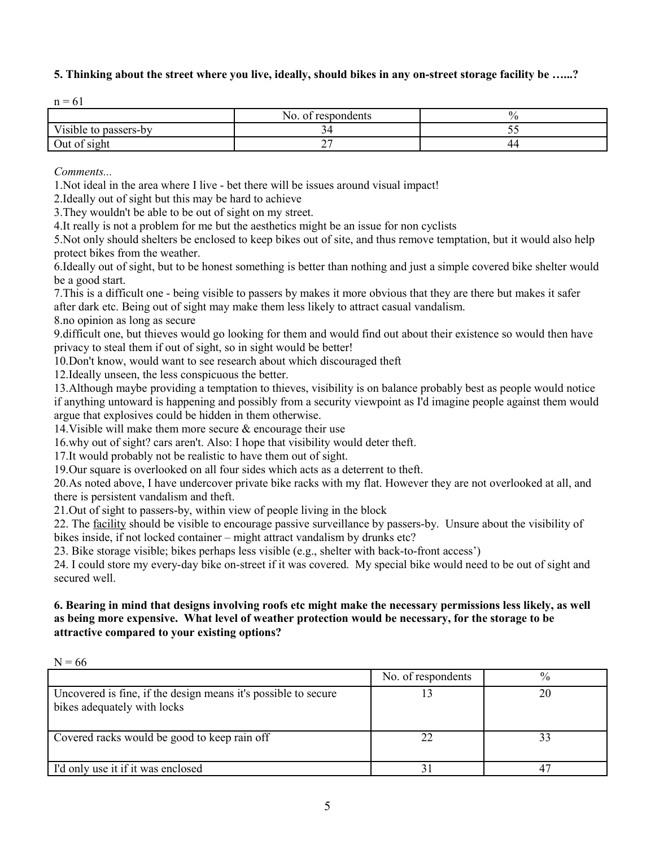# **5. Thinking about the street where you live, ideally, should bikes in any on-street storage facility be …...?**

|                       | No. of respondents       | 0  |
|-----------------------|--------------------------|----|
| Visible to passers-by |                          | ັ  |
| Out of sight          | $\overline{\phantom{0}}$ | 44 |

*Comments...*

1.Not ideal in the area where I live - bet there will be issues around visual impact!

2.Ideally out of sight but this may be hard to achieve

3.They wouldn't be able to be out of sight on my street.

4.It really is not a problem for me but the aesthetics might be an issue for non cyclists

5.Not only should shelters be enclosed to keep bikes out of site, and thus remove temptation, but it would also help protect bikes from the weather.

6.Ideally out of sight, but to be honest something is better than nothing and just a simple covered bike shelter would be a good start.

7.This is a difficult one - being visible to passers by makes it more obvious that they are there but makes it safer after dark etc. Being out of sight may make them less likely to attract casual vandalism.

8.no opinion as long as secure

9.difficult one, but thieves would go looking for them and would find out about their existence so would then have privacy to steal them if out of sight, so in sight would be better!

10.Don't know, would want to see research about which discouraged theft

12.Ideally unseen, the less conspicuous the better.

13.Although maybe providing a temptation to thieves, visibility is on balance probably best as people would notice if anything untoward is happening and possibly from a security viewpoint as I'd imagine people against them would argue that explosives could be hidden in them otherwise.

14.Visible will make them more secure & encourage their use

16.why out of sight? cars aren't. Also: I hope that visibility would deter theft.

17.It would probably not be realistic to have them out of sight.

19.Our square is overlooked on all four sides which acts as a deterrent to theft.

20.As noted above, I have undercover private bike racks with my flat. However they are not overlooked at all, and there is persistent vandalism and theft.

21.Out of sight to passers-by, within view of people living in the block

22. The <u>facility</u> should be visible to encourage passive surveillance by passers-by. Unsure about the visibility of bikes inside, if not locked container – might attract vandalism by drunks etc?

23. Bike storage visible; bikes perhaps less visible (e.g., shelter with back-to-front access')

24. I could store my every-day bike on-street if it was covered. My special bike would need to be out of sight and secured well.

## **6. Bearing in mind that designs involving roofs etc might make the necessary permissions less likely, as well as being more expensive. What level of weather protection would be necessary, for the storage to be attractive compared to your existing options?**

| $N = 66$                                                                                      |                    |             |
|-----------------------------------------------------------------------------------------------|--------------------|-------------|
|                                                                                               | No. of respondents | $\%$        |
| Uncovered is fine, if the design means it's possible to secure<br>bikes adequately with locks |                    | 20          |
| Covered racks would be good to keep rain off                                                  |                    |             |
| I'd only use it if it was enclosed                                                            |                    | $4^{\circ}$ |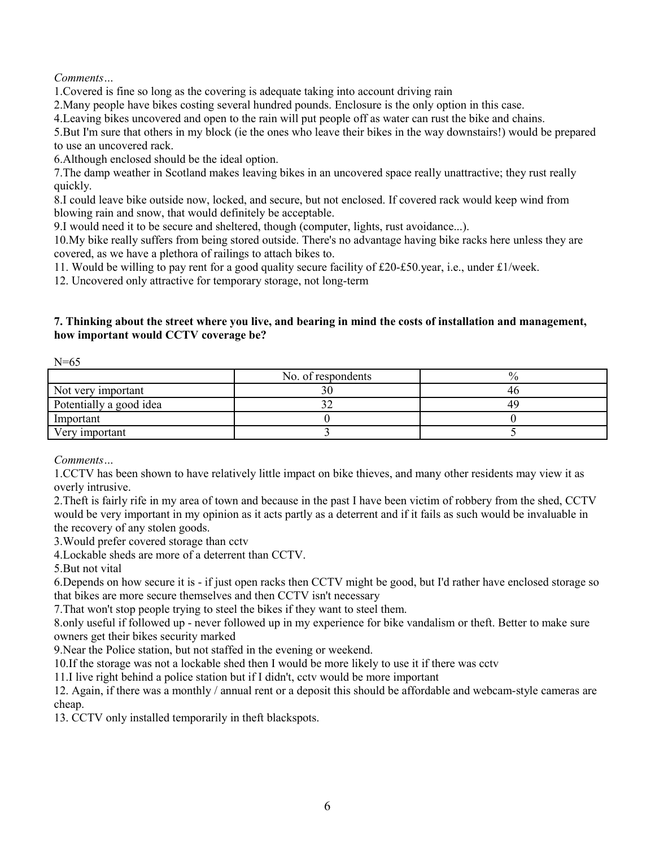*Comments…*

1.Covered is fine so long as the covering is adequate taking into account driving rain

2.Many people have bikes costing several hundred pounds. Enclosure is the only option in this case.

4.Leaving bikes uncovered and open to the rain will put people off as water can rust the bike and chains.

5.But I'm sure that others in my block (ie the ones who leave their bikes in the way downstairs!) would be prepared to use an uncovered rack.

6.Although enclosed should be the ideal option.

7.The damp weather in Scotland makes leaving bikes in an uncovered space really unattractive; they rust really quickly.

8.I could leave bike outside now, locked, and secure, but not enclosed. If covered rack would keep wind from blowing rain and snow, that would definitely be acceptable.

9.I would need it to be secure and sheltered, though (computer, lights, rust avoidance...).

10.My bike really suffers from being stored outside. There's no advantage having bike racks here unless they are covered, as we have a plethora of railings to attach bikes to.

11. Would be willing to pay rent for a good quality secure facility of £20-£50.year, i.e., under £1/week.

12. Uncovered only attractive for temporary storage, not long-term

# **7. Thinking about the street where you live, and bearing in mind the costs of installation and management, how important would CCTV coverage be?**

| $N=65$                  |                    |    |
|-------------------------|--------------------|----|
|                         | No. of respondents |    |
| Not very important      |                    | 4t |
| Potentially a good idea |                    | 49 |
| Important               |                    |    |
| Very important          |                    |    |

*Comments…*

1.CCTV has been shown to have relatively little impact on bike thieves, and many other residents may view it as overly intrusive.

2.Theft is fairly rife in my area of town and because in the past I have been victim of robbery from the shed, CCTV would be very important in my opinion as it acts partly as a deterrent and if it fails as such would be invaluable in the recovery of any stolen goods.

3.Would prefer covered storage than cctv

4.Lockable sheds are more of a deterrent than CCTV.

5.But not vital

6.Depends on how secure it is - if just open racks then CCTV might be good, but I'd rather have enclosed storage so that bikes are more secure themselves and then CCTV isn't necessary

7.That won't stop people trying to steel the bikes if they want to steel them.

8.only useful if followed up - never followed up in my experience for bike vandalism or theft. Better to make sure owners get their bikes security marked

9.Near the Police station, but not staffed in the evening or weekend.

10.If the storage was not a lockable shed then I would be more likely to use it if there was cctv

11.I live right behind a police station but if I didn't, cctv would be more important

12. Again, if there was a monthly / annual rent or a deposit this should be affordable and webcam-style cameras are cheap.

13. CCTV only installed temporarily in theft blackspots.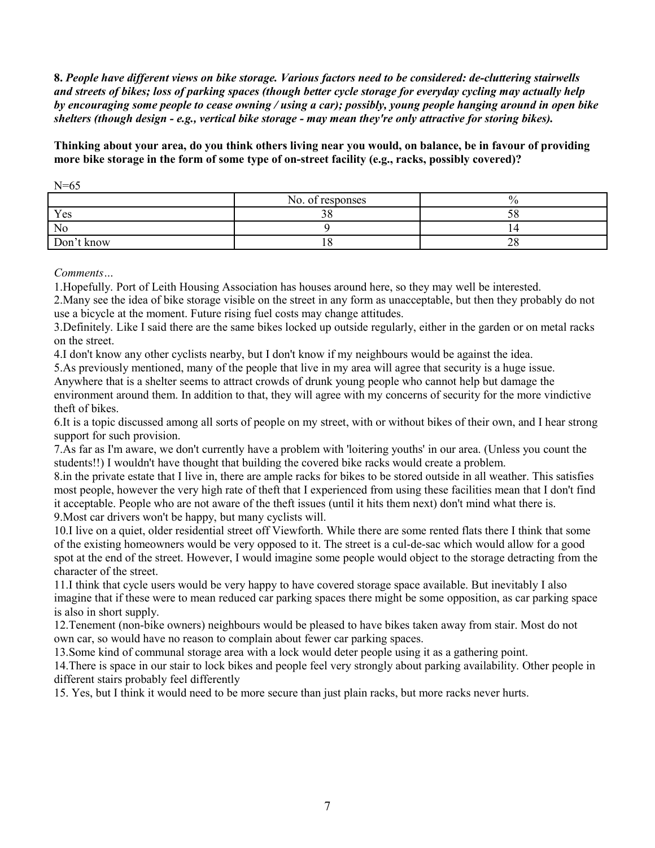**8.** *People have different views on bike storage. Various factors need to be considered: de-cluttering stairwells and streets of bikes; loss of parking spaces (though better cycle storage for everyday cycling may actually help by encouraging some people to cease owning / using a car); possibly, young people hanging around in open bike shelters (though design - e.g., vertical bike storage - may mean they're only attractive for storing bikes).*

**Thinking about your area, do you think others living near you would, on balance, be in favour of providing more bike storage in the form of some type of on-street facility (e.g., racks, possibly covered)?**

|                | No. of responses | O. |
|----------------|------------------|----|
| Yes            | nΩ               |    |
| N <sub>0</sub> |                  |    |
| Don't know     |                  | ∠c |

 $N=65$ 

*Comments…*

1.Hopefully. Port of Leith Housing Association has houses around here, so they may well be interested.

2.Many see the idea of bike storage visible on the street in any form as unacceptable, but then they probably do not use a bicycle at the moment. Future rising fuel costs may change attitudes.

3.Definitely. Like I said there are the same bikes locked up outside regularly, either in the garden or on metal racks on the street.

4.I don't know any other cyclists nearby, but I don't know if my neighbours would be against the idea.

5.As previously mentioned, many of the people that live in my area will agree that security is a huge issue. Anywhere that is a shelter seems to attract crowds of drunk young people who cannot help but damage the environment around them. In addition to that, they will agree with my concerns of security for the more vindictive theft of bikes.

6.It is a topic discussed among all sorts of people on my street, with or without bikes of their own, and I hear strong support for such provision.

7.As far as I'm aware, we don't currently have a problem with 'loitering youths' in our area. (Unless you count the students!!) I wouldn't have thought that building the covered bike racks would create a problem.

8.in the private estate that I live in, there are ample racks for bikes to be stored outside in all weather. This satisfies most people, however the very high rate of theft that I experienced from using these facilities mean that I don't find it acceptable. People who are not aware of the theft issues (until it hits them next) don't mind what there is. 9.Most car drivers won't be happy, but many cyclists will.

10.I live on a quiet, older residential street off Viewforth. While there are some rented flats there I think that some of the existing homeowners would be very opposed to it. The street is a cul-de-sac which would allow for a good spot at the end of the street. However, I would imagine some people would object to the storage detracting from the character of the street.

11.I think that cycle users would be very happy to have covered storage space available. But inevitably I also imagine that if these were to mean reduced car parking spaces there might be some opposition, as car parking space is also in short supply.

12.Tenement (non-bike owners) neighbours would be pleased to have bikes taken away from stair. Most do not own car, so would have no reason to complain about fewer car parking spaces.

13.Some kind of communal storage area with a lock would deter people using it as a gathering point.

14.There is space in our stair to lock bikes and people feel very strongly about parking availability. Other people in different stairs probably feel differently

15. Yes, but I think it would need to be more secure than just plain racks, but more racks never hurts.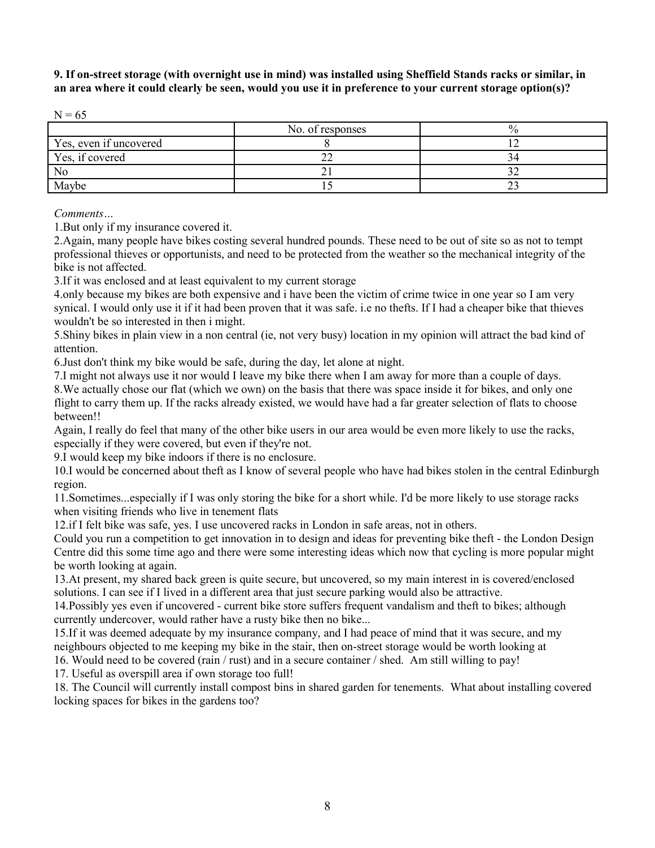**9. If on-street storage (with overnight use in mind) was installed using Sheffield Stands racks or similar, in an area where it could clearly be seen, would you use it in preference to your current storage option(s)?**

|                        | No. of responses |     |
|------------------------|------------------|-----|
| Yes, even if uncovered |                  |     |
| Yes, if covered        |                  |     |
| N <sub>0</sub>         |                  |     |
| Maybe                  |                  | ن ک |

*Comments…*

1.But only if my insurance covered it.

2.Again, many people have bikes costing several hundred pounds. These need to be out of site so as not to tempt professional thieves or opportunists, and need to be protected from the weather so the mechanical integrity of the bike is not affected.

3.If it was enclosed and at least equivalent to my current storage

4.only because my bikes are both expensive and i have been the victim of crime twice in one year so I am very synical. I would only use it if it had been proven that it was safe. i.e no thefts. If I had a cheaper bike that thieves wouldn't be so interested in then i might.

5.Shiny bikes in plain view in a non central (ie, not very busy) location in my opinion will attract the bad kind of attention.

6.Just don't think my bike would be safe, during the day, let alone at night.

7.I might not always use it nor would I leave my bike there when I am away for more than a couple of days. 8.We actually chose our flat (which we own) on the basis that there was space inside it for bikes, and only one

flight to carry them up. If the racks already existed, we would have had a far greater selection of flats to choose between!!

Again, I really do feel that many of the other bike users in our area would be even more likely to use the racks, especially if they were covered, but even if they're not.

9.I would keep my bike indoors if there is no enclosure.

10.I would be concerned about theft as I know of several people who have had bikes stolen in the central Edinburgh region.

11.Sometimes...especially if I was only storing the bike for a short while. I'd be more likely to use storage racks when visiting friends who live in tenement flats

12.if I felt bike was safe, yes. I use uncovered racks in London in safe areas, not in others.

Could you run a competition to get innovation in to design and ideas for preventing bike theft - the London Design Centre did this some time ago and there were some interesting ideas which now that cycling is more popular might be worth looking at again.

13.At present, my shared back green is quite secure, but uncovered, so my main interest in is covered/enclosed solutions. I can see if I lived in a different area that just secure parking would also be attractive.

14.Possibly yes even if uncovered - current bike store suffers frequent vandalism and theft to bikes; although currently undercover, would rather have a rusty bike then no bike...

15.If it was deemed adequate by my insurance company, and I had peace of mind that it was secure, and my neighbours objected to me keeping my bike in the stair, then on-street storage would be worth looking at

16. Would need to be covered (rain / rust) and in a secure container / shed. Am still willing to pay!

17. Useful as overspill area if own storage too full!

18. The Council will currently install compost bins in shared garden for tenements. What about installing covered locking spaces for bikes in the gardens too?